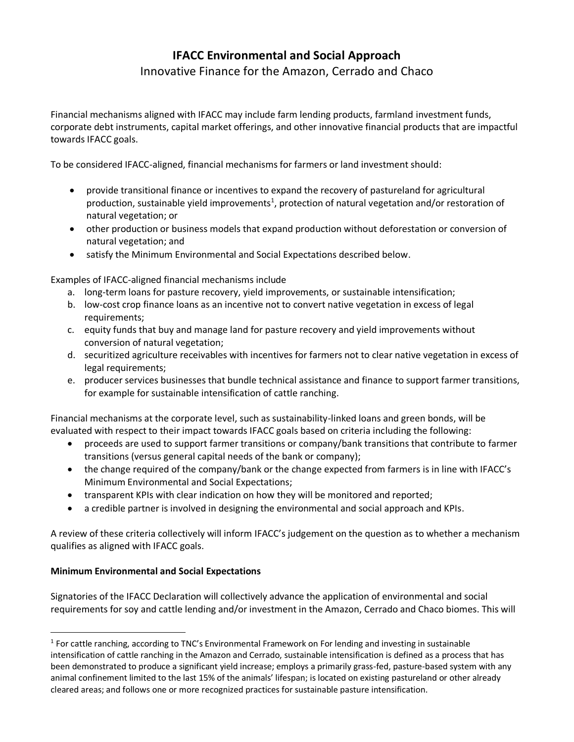# **IFACC Environmental and Social Approach**

Innovative Finance for the Amazon, Cerrado and Chaco

Financial mechanisms aligned with IFACC may include farm lending products, farmland investment funds, corporate debt instruments, capital market offerings, and other innovative financial products that are impactful towards IFACC goals.

To be considered IFACC-aligned, financial mechanisms for farmers or land investment should:

- provide transitional finance or incentives to expand the recovery of pastureland for agricultural production, sustainable yield improvements<sup>1</sup>, protection of natural vegetation and/or restoration of natural vegetation; or
- other production or business models that expand production without deforestation or conversion of natural vegetation; and
- satisfy the Minimum Environmental and Social Expectations described below.

Examples of IFACC-aligned financial mechanisms include

- a. long-term loans for pasture recovery, yield improvements, or sustainable intensification;
- b. low-cost crop finance loans as an incentive not to convert native vegetation in excess of legal requirements;
- c. equity funds that buy and manage land for pasture recovery and yield improvements without conversion of natural vegetation;
- d. securitized agriculture receivables with incentives for farmers not to clear native vegetation in excess of legal requirements;
- e. producer services businesses that bundle technical assistance and finance to support farmer transitions, for example for sustainable intensification of cattle ranching.

Financial mechanisms at the corporate level, such as sustainability-linked loans and green bonds, will be evaluated with respect to their impact towards IFACC goals based on criteria including the following:

- proceeds are used to support farmer transitions or company/bank transitions that contribute to farmer transitions (versus general capital needs of the bank or company);
- the change required of the company/bank or the change expected from farmers is in line with IFACC's Minimum Environmental and Social Expectations;
- transparent KPIs with clear indication on how they will be monitored and reported;
- a credible partner is involved in designing the environmental and social approach and KPIs.

A review of these criteria collectively will inform IFACC's judgement on the question as to whether a mechanism qualifies as aligned with IFACC goals.

# **Minimum Environmental and Social Expectations**

Signatories of the IFACC Declaration will collectively advance the application of environmental and social requirements for soy and cattle lending and/or investment in the Amazon, Cerrado and Chaco biomes. This will

 $<sup>1</sup>$  For cattle ranching, according to TNC's Environmental Framework on For lending and investing in sustainable</sup> intensification of cattle ranching in the Amazon and Cerrado, sustainable intensification is defined as a process that has been demonstrated to produce a significant yield increase; employs a primarily grass-fed, pasture-based system with any animal confinement limited to the last 15% of the animals' lifespan; is located on existing pastureland or other already cleared areas; and follows one or more recognized practices for sustainable pasture intensification.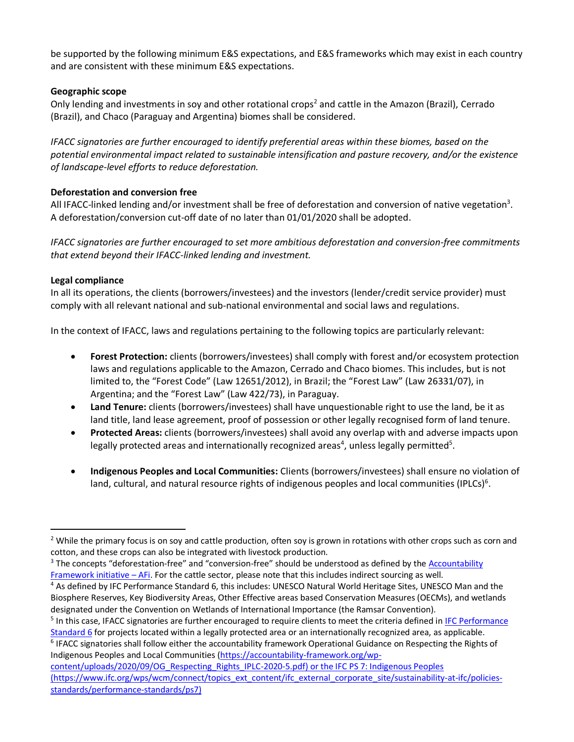be supported by the following minimum E&S expectations, and E&S frameworks which may exist in each country and are consistent with these minimum E&S expectations.

## **Geographic scope**

Only lending and investments in soy and other rotational crops<sup>2</sup> and cattle in the Amazon (Brazil), Cerrado (Brazil), and Chaco (Paraguay and Argentina) biomes shall be considered.

*IFACC signatories are further encouraged to identify preferential areas within these biomes, based on the potential environmental impact related to sustainable intensification and pasture recovery, and/or the existence of landscape-level efforts to reduce deforestation.*

# **Deforestation and conversion free**

All IFACC-linked lending and/or investment shall be free of deforestation and conversion of native vegetation<sup>3</sup>. A deforestation/conversion cut-off date of no later than 01/01/2020 shall be adopted.

*IFACC signatories are further encouraged to set more ambitious deforestation and conversion-free commitments that extend beyond their IFACC-linked lending and investment.* 

#### **Legal compliance**

In all its operations, the clients (borrowers/investees) and the investors (lender/credit service provider) must comply with all relevant national and sub-national environmental and social laws and regulations.

In the context of IFACC, laws and regulations pertaining to the following topics are particularly relevant:

- **Forest Protection:** clients (borrowers/investees) shall comply with forest and/or ecosystem protection laws and regulations applicable to the Amazon, Cerrado and Chaco biomes. This includes, but is not limited to, the "Forest Code" (Law 12651/2012), in Brazil; the "Forest Law" (Law 26331/07), in Argentina; and the "Forest Law" (Law 422/73), in Paraguay.
- **Land Tenure:** clients (borrowers/investees) shall have unquestionable right to use the land, be it as land title, land lease agreement, proof of possession or other legally recognised form of land tenure.
- **Protected Areas:** clients (borrowers/investees) shall avoid any overlap with and adverse impacts upon legally protected areas and internationally recognized areas<sup>4</sup>, unless legally permitted<sup>5</sup>.
- **Indigenous Peoples and Local Communities:** Clients (borrowers/investees) shall ensure no violation of land, cultural, and natural resource rights of indigenous peoples and local communities (IPLCs)<sup>6</sup>.

<sup>6</sup> IFACC signatories shall follow either the accountability framework Operational Guidance on Respecting the Rights of Indigenous Peoples and Local Communities [\(https://accountability-framework.org/wp-](https://accountability-framework.org/wp-content/uploads/2020/09/OG_Respecting_Rights_IPLC-2020-5.pdf)

<sup>&</sup>lt;sup>2</sup> While the primary focus is on soy and cattle production, often soy is grown in rotations with other crops such as corn and cotton, and these crops can also be integrated with livestock production.

<sup>&</sup>lt;sup>3</sup> The concepts "deforestation-free" and "conversion-free" should be understood as defined by the Accountability [Framework initiative](https://accountability-framework.org/the-framework/contents/definitions/) – AFi. For the cattle sector, please note that this includes indirect sourcing as well.

<sup>4</sup> As defined by IFC Performance Standard 6, this includes: UNESCO Natural World Heritage Sites, UNESCO Man and the Biosphere Reserves, Key Biodiversity Areas, Other Effective areas based Conservation Measures (OECMs), and wetlands designated under the Convention on Wetlands of International Importance (the Ramsar Convention).

<sup>&</sup>lt;sup>5</sup> In this case, IFACC signatories are further encouraged to require clients to meet the criteria defined in IFC Performance [Standard 6](https://www.ifc.org/wps/wcm/connect/topics_ext_content/ifc_external_corporate_site/sustainability-at-ifc/policies-standards/performance-standards/ps6) for projects located within a legally protected area or an internationally recognized area, as applicable.

[content/uploads/2020/09/OG\\_Respecting\\_Rights\\_IPLC-2020-5.pdf\)](https://accountability-framework.org/wp-content/uploads/2020/09/OG_Respecting_Rights_IPLC-2020-5.pdf) or the IFC PS 7: Indigenous Peoples (https://www.ifc.org/wps/wcm/connect/topics\_ext\_content/ifc\_external\_corporate\_site/sustainability-at-ifc/policiesstandards/performance-standards/ps7)